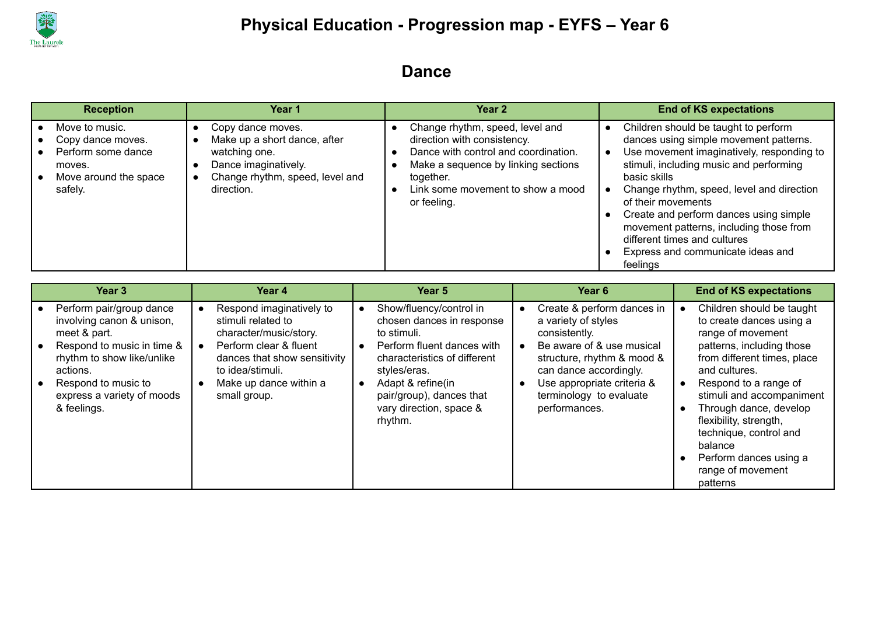

#### **Dance**

| <b>Reception</b>                                                                                        | Year 1                                                                                                                                      | Year 2                                                                                                                                                                                                         | <b>End of KS expectations</b>                                                                                                                                                                                                                                                                                                                                                                                                   |
|---------------------------------------------------------------------------------------------------------|---------------------------------------------------------------------------------------------------------------------------------------------|----------------------------------------------------------------------------------------------------------------------------------------------------------------------------------------------------------------|---------------------------------------------------------------------------------------------------------------------------------------------------------------------------------------------------------------------------------------------------------------------------------------------------------------------------------------------------------------------------------------------------------------------------------|
| Move to music.<br>Copy dance moves.<br>Perform some dance<br>moves.<br>Move around the space<br>safely. | Copy dance moves.<br>Make up a short dance, after<br>watching one.<br>Dance imaginatively.<br>Change rhythm, speed, level and<br>direction. | Change rhythm, speed, level and<br>direction with consistency.<br>Dance with control and coordination.<br>Make a sequence by linking sections<br>together.<br>Link some movement to show a mood<br>or feeling. | Children should be taught to perform<br>dances using simple movement patterns.<br>Use movement imaginatively, responding to<br>stimuli, including music and performing<br>basic skills<br>Change rhythm, speed, level and direction<br>of their movements<br>Create and perform dances using simple<br>movement patterns, including those from<br>different times and cultures<br>Express and communicate ideas and<br>feelings |

| Year 3                                                                                                                                                                                                            | Year 4                                                                                                                                                                                           | Year 5                                                                                                                                                                                                                                   | Year 6                                                                                                                                                                                                                            | <b>End of KS expectations</b>                                                                                                                                                                                                                                                                                                                                     |
|-------------------------------------------------------------------------------------------------------------------------------------------------------------------------------------------------------------------|--------------------------------------------------------------------------------------------------------------------------------------------------------------------------------------------------|------------------------------------------------------------------------------------------------------------------------------------------------------------------------------------------------------------------------------------------|-----------------------------------------------------------------------------------------------------------------------------------------------------------------------------------------------------------------------------------|-------------------------------------------------------------------------------------------------------------------------------------------------------------------------------------------------------------------------------------------------------------------------------------------------------------------------------------------------------------------|
| Perform pair/group dance<br>involving canon & unison,<br>meet & part.<br>Respond to music in time &<br>rhythm to show like/unlike<br>actions.<br>Respond to music to<br>express a variety of moods<br>& feelings. | Respond imaginatively to<br>stimuli related to<br>character/music/story.<br>Perform clear & fluent<br>dances that show sensitivity<br>to idea/stimuli.<br>Make up dance within a<br>small group. | Show/fluency/control in<br>chosen dances in response<br>to stimuli.<br>Perform fluent dances with<br>characteristics of different<br>styles/eras.<br>Adapt & refine(in<br>pair/group), dances that<br>vary direction, space &<br>rhythm. | Create & perform dances in<br>a variety of styles<br>consistently.<br>Be aware of & use musical<br>structure, rhythm & mood &<br>can dance accordingly.<br>Use appropriate criteria &<br>terminology to evaluate<br>performances. | Children should be taught<br>to create dances using a<br>range of movement<br>patterns, including those<br>from different times, place<br>and cultures.<br>Respond to a range of<br>stimuli and accompaniment<br>Through dance, develop<br>flexibility, strength,<br>technique, control and<br>balance<br>Perform dances using a<br>range of movement<br>patterns |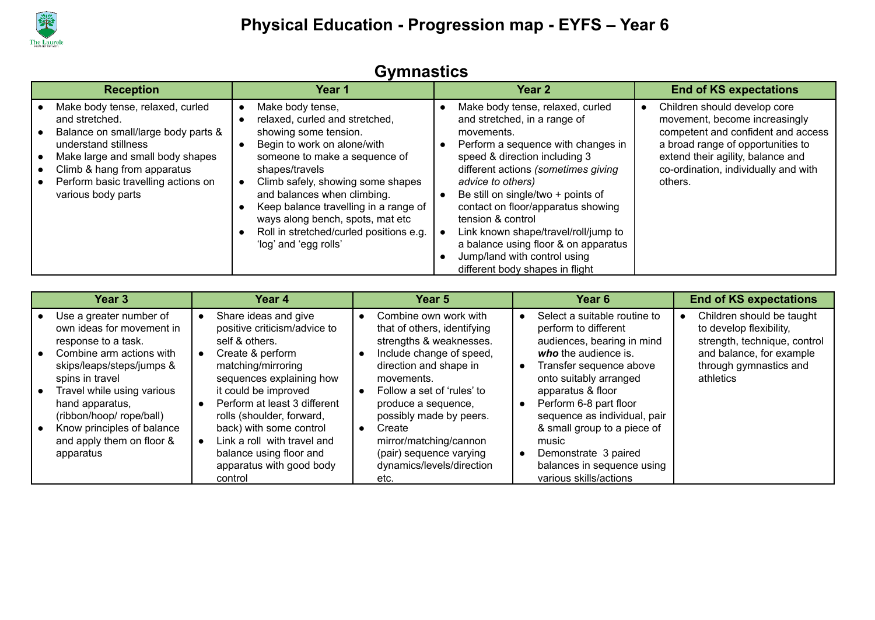

| OVIIIIIUJUUJ                                                                                                                                                                                                                                      |                                                                                                                                                                                                                                                                                                                                                                                    |                                                                                                                                                                                                                                                                                                                                                                                                                                                                       |                                                                                                                                                                                                                                  |  |  |
|---------------------------------------------------------------------------------------------------------------------------------------------------------------------------------------------------------------------------------------------------|------------------------------------------------------------------------------------------------------------------------------------------------------------------------------------------------------------------------------------------------------------------------------------------------------------------------------------------------------------------------------------|-----------------------------------------------------------------------------------------------------------------------------------------------------------------------------------------------------------------------------------------------------------------------------------------------------------------------------------------------------------------------------------------------------------------------------------------------------------------------|----------------------------------------------------------------------------------------------------------------------------------------------------------------------------------------------------------------------------------|--|--|
| <b>Reception</b>                                                                                                                                                                                                                                  | Year 1                                                                                                                                                                                                                                                                                                                                                                             | Year <sub>2</sub>                                                                                                                                                                                                                                                                                                                                                                                                                                                     | <b>End of KS expectations</b>                                                                                                                                                                                                    |  |  |
| Make body tense, relaxed, curled<br>and stretched.<br>Balance on small/large body parts &<br>understand stillness<br>Make large and small body shapes<br>Climb & hang from apparatus<br>Perform basic travelling actions on<br>various body parts | Make body tense,<br>relaxed, curled and stretched,<br>showing some tension.<br>Begin to work on alone/with<br>someone to make a sequence of<br>shapes/travels<br>Climb safely, showing some shapes<br>and balances when climbing.<br>Keep balance travelling in a range of<br>ways along bench, spots, mat etc<br>Roll in stretched/curled positions e.g.<br>'log' and 'egg rolls' | Make body tense, relaxed, curled<br>and stretched, in a range of<br>movements.<br>Perform a sequence with changes in<br>speed & direction including 3<br>different actions (sometimes giving<br>advice to others)<br>Be still on single/two + points of<br>contact on floor/apparatus showing<br>tension & control<br>Link known shape/travel/roll/jump to<br>a balance using floor & on apparatus<br>Jump/land with control using<br>different body shapes in flight | Children should develop core<br>movement, become increasingly<br>competent and confident and access<br>a broad range of opportunities to<br>extend their agility, balance and<br>co-ordination, individually and with<br>others. |  |  |

| Share ideas and give<br>Use a greater number of<br>own ideas for movement in<br>positive criticism/advice to<br>self & others.<br>response to a task.<br>Combine arm actions with<br>Create & perform<br>matching/mirroring<br>skips/leaps/steps/jumps &<br>sequences explaining how<br>spins in travel<br>movements.<br>it could be improved<br>Travel while using various<br>Perform at least 3 different<br>hand apparatus,<br>(ribbon/hoop/ rope/ball)<br>rolls (shoulder, forward,<br>Know principles of balance<br>back) with some control<br>Create<br>and apply them on floor &<br>Link a roll with travel and<br>balance using floor and<br>apparatus<br>apparatus with good body<br>control<br>etc. | Select a suitable routine to<br>Combine own work with<br>that of others, identifying<br>perform to different<br>strengths & weaknesses.<br>audiences, bearing in mind<br>Include change of speed,<br>who the audience is.<br>direction and shape in<br>Transfer sequence above<br>onto suitably arranged<br>apparatus & floor<br>Follow a set of 'rules' to<br>Perform 6-8 part floor<br>produce a sequence,<br>possibly made by peers.<br>sequence as individual, pair<br>& small group to a piece of<br>mirror/matching/cannon<br>music<br>(pair) sequence varying<br>Demonstrate 3 paired<br>dynamics/levels/direction<br>balances in sequence using<br>various skills/actions | Children should be taught<br>to develop flexibility,<br>strength, technique, control<br>and balance, for example<br>through gymnastics and<br>athletics |
|---------------------------------------------------------------------------------------------------------------------------------------------------------------------------------------------------------------------------------------------------------------------------------------------------------------------------------------------------------------------------------------------------------------------------------------------------------------------------------------------------------------------------------------------------------------------------------------------------------------------------------------------------------------------------------------------------------------|-----------------------------------------------------------------------------------------------------------------------------------------------------------------------------------------------------------------------------------------------------------------------------------------------------------------------------------------------------------------------------------------------------------------------------------------------------------------------------------------------------------------------------------------------------------------------------------------------------------------------------------------------------------------------------------|---------------------------------------------------------------------------------------------------------------------------------------------------------|

#### **Gymnastics**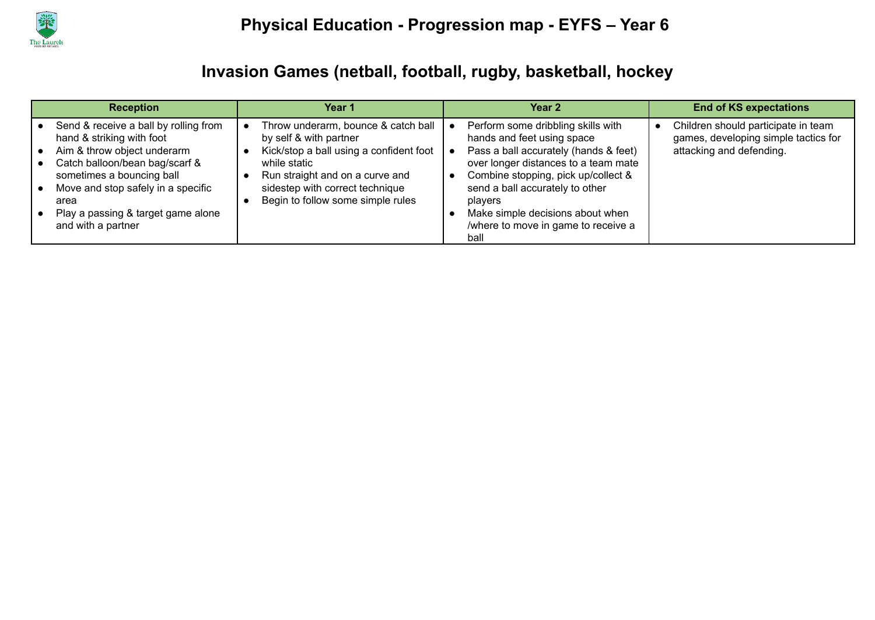

### **Invasion Games (netball, football, rugby, basketball, hockey**

| <b>Reception</b>                                                                                                                                                                                                                                                                                                  | Year 1                                                                                                                                                                                                                              | Year <sub>2</sub>                                                                                                                                                                                                                                                                                                         | <b>End of KS expectations</b>                                                                           |
|-------------------------------------------------------------------------------------------------------------------------------------------------------------------------------------------------------------------------------------------------------------------------------------------------------------------|-------------------------------------------------------------------------------------------------------------------------------------------------------------------------------------------------------------------------------------|---------------------------------------------------------------------------------------------------------------------------------------------------------------------------------------------------------------------------------------------------------------------------------------------------------------------------|---------------------------------------------------------------------------------------------------------|
| Send & receive a ball by rolling from<br>hand & striking with foot<br>Aim & throw object underarm<br>$\bullet$<br>Catch balloon/bean bag/scarf &<br>sometimes a bouncing ball<br>Move and stop safely in a specific<br>$\bullet$<br>area<br>Play a passing & target game alone<br>$\bullet$<br>and with a partner | Throw underarm, bounce & catch ball<br>by self & with partner<br>Kick/stop a ball using a confident foot<br>while static<br>Run straight and on a curve and<br>sidestep with correct technique<br>Begin to follow some simple rules | Perform some dribbling skills with<br>hands and feet using space<br>Pass a ball accurately (hands & feet)<br>over longer distances to a team mate<br>Combine stopping, pick up/collect &<br>send a ball accurately to other<br>players<br>Make simple decisions about when<br>/where to move in game to receive a<br>ball | Children should participate in team<br>games, developing simple tactics for<br>attacking and defending. |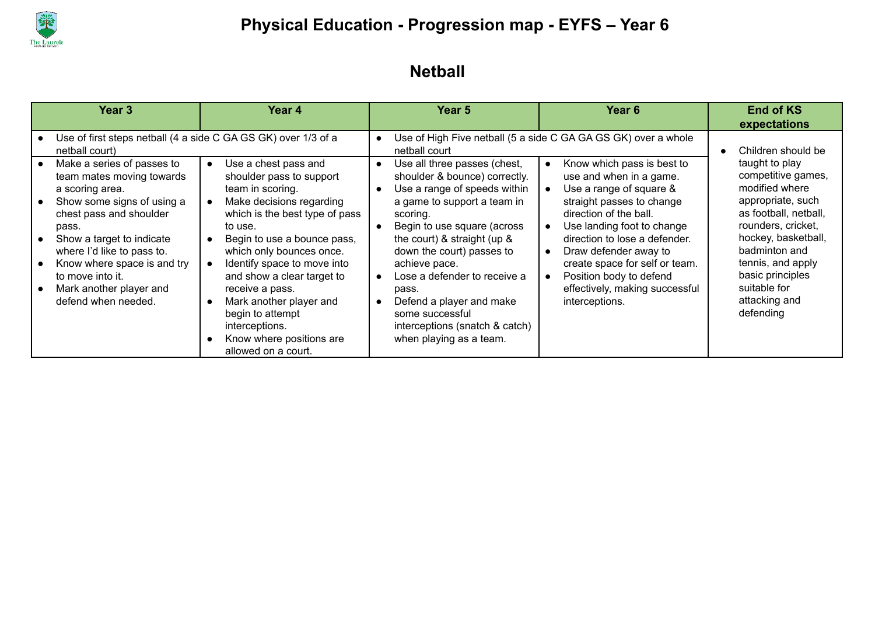

### **Netball**

| Year 3                                                                                                                                                                                                                                                                                                       | Year 4                                                                                                                                                                                                                                                                                                                                                                                                                                                           | <b>Year 5</b>                                                                                                                                                                                                                                                                                                                                                                                             | Year 6                                                                                                                                                                                                                                                                                                                                           | <b>End of KS</b><br>expectations                                                                                                                                                                                                                          |
|--------------------------------------------------------------------------------------------------------------------------------------------------------------------------------------------------------------------------------------------------------------------------------------------------------------|------------------------------------------------------------------------------------------------------------------------------------------------------------------------------------------------------------------------------------------------------------------------------------------------------------------------------------------------------------------------------------------------------------------------------------------------------------------|-----------------------------------------------------------------------------------------------------------------------------------------------------------------------------------------------------------------------------------------------------------------------------------------------------------------------------------------------------------------------------------------------------------|--------------------------------------------------------------------------------------------------------------------------------------------------------------------------------------------------------------------------------------------------------------------------------------------------------------------------------------------------|-----------------------------------------------------------------------------------------------------------------------------------------------------------------------------------------------------------------------------------------------------------|
| Use of first steps netball (4 a side C GA GS GK) over 1/3 of a<br>netball court)                                                                                                                                                                                                                             |                                                                                                                                                                                                                                                                                                                                                                                                                                                                  | netball court                                                                                                                                                                                                                                                                                                                                                                                             | Use of High Five netball (5 a side C GA GA GS GK) over a whole                                                                                                                                                                                                                                                                                   | Children should be                                                                                                                                                                                                                                        |
| Make a series of passes to<br>team mates moving towards<br>a scoring area.<br>Show some signs of using a<br>chest pass and shoulder<br>pass.<br>Show a target to indicate<br>where I'd like to pass to.<br>Know where space is and try<br>to move into it.<br>Mark another player and<br>defend when needed. | Use a chest pass and<br>$\bullet$<br>shoulder pass to support<br>team in scoring.<br>Make decisions regarding<br>$\bullet$<br>which is the best type of pass<br>to use.<br>Begin to use a bounce pass,<br>$\bullet$<br>which only bounces once.<br>Identify space to move into<br>and show a clear target to<br>receive a pass.<br>Mark another player and<br>$\bullet$<br>begin to attempt<br>interceptions.<br>Know where positions are<br>allowed on a court. | Use all three passes (chest,<br>shoulder & bounce) correctly.<br>Use a range of speeds within<br>a game to support a team in<br>scoring.<br>Begin to use square (across<br>the court) & straight (up &<br>down the court) passes to<br>achieve pace.<br>Lose a defender to receive a<br>pass.<br>Defend a player and make<br>some successful<br>interceptions (snatch & catch)<br>when playing as a team. | Know which pass is best to<br>use and when in a game.<br>Use a range of square &<br>straight passes to change<br>direction of the ball.<br>Use landing foot to change<br>direction to lose a defender.<br>Draw defender away to<br>create space for self or team.<br>Position body to defend<br>effectively, making successful<br>interceptions. | taught to play<br>competitive games,<br>modified where<br>appropriate, such<br>as football, netball,<br>rounders, cricket,<br>hockey, basketball,<br>badminton and<br>tennis, and apply<br>basic principles<br>suitable for<br>attacking and<br>defending |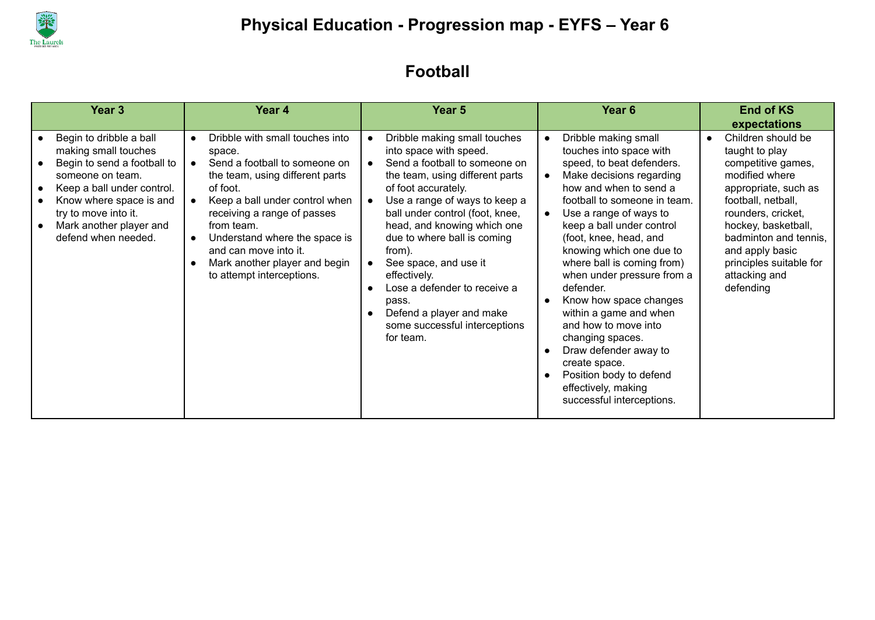

### **Football**

| Year <sub>3</sub>                                                                                                                                                                                                                     | Year 4                                                                                                                                                                                                                                                                                                                                                                  | Year 5                                                                                                                                                                                                                                                                                                                                                                                                                                                    | Year <sub>6</sub>                                                                                                                                                                                                                                                                                                                                                                                                                                                                                                                                                                                                        | <b>End of KS</b><br>expectations                                                                                                                                                                                                                                             |
|---------------------------------------------------------------------------------------------------------------------------------------------------------------------------------------------------------------------------------------|-------------------------------------------------------------------------------------------------------------------------------------------------------------------------------------------------------------------------------------------------------------------------------------------------------------------------------------------------------------------------|-----------------------------------------------------------------------------------------------------------------------------------------------------------------------------------------------------------------------------------------------------------------------------------------------------------------------------------------------------------------------------------------------------------------------------------------------------------|--------------------------------------------------------------------------------------------------------------------------------------------------------------------------------------------------------------------------------------------------------------------------------------------------------------------------------------------------------------------------------------------------------------------------------------------------------------------------------------------------------------------------------------------------------------------------------------------------------------------------|------------------------------------------------------------------------------------------------------------------------------------------------------------------------------------------------------------------------------------------------------------------------------|
| Begin to dribble a ball<br>making small touches<br>Begin to send a football to<br>someone on team.<br>Keep a ball under control.<br>Know where space is and<br>try to move into it.<br>Mark another player and<br>defend when needed. | Dribble with small touches into<br>$\bullet$<br>space.<br>Send a football to someone on<br>$\bullet$<br>the team, using different parts<br>of foot.<br>Keep a ball under control when<br>receiving a range of passes<br>from team.<br>Understand where the space is<br>$\bullet$<br>and can move into it.<br>Mark another player and begin<br>to attempt interceptions. | Dribble making small touches<br>into space with speed.<br>Send a football to someone on<br>the team, using different parts<br>of foot accurately.<br>Use a range of ways to keep a<br>ball under control (foot, knee,<br>head, and knowing which one<br>due to where ball is coming<br>from).<br>See space, and use it<br>effectively.<br>Lose a defender to receive a<br>pass.<br>Defend a player and make<br>some successful interceptions<br>for team. | Dribble making small<br>$\bullet$<br>touches into space with<br>speed, to beat defenders.<br>Make decisions regarding<br>$\bullet$<br>how and when to send a<br>football to someone in team.<br>Use a range of ways to<br>$\bullet$<br>keep a ball under control<br>(foot, knee, head, and<br>knowing which one due to<br>where ball is coming from)<br>when under pressure from a<br>defender.<br>Know how space changes<br>within a game and when<br>and how to move into<br>changing spaces.<br>Draw defender away to<br>create space.<br>Position body to defend<br>effectively, making<br>successful interceptions. | Children should be<br>taught to play<br>competitive games,<br>modified where<br>appropriate, such as<br>football, netball,<br>rounders, cricket,<br>hockey, basketball,<br>badminton and tennis,<br>and apply basic<br>principles suitable for<br>attacking and<br>defending |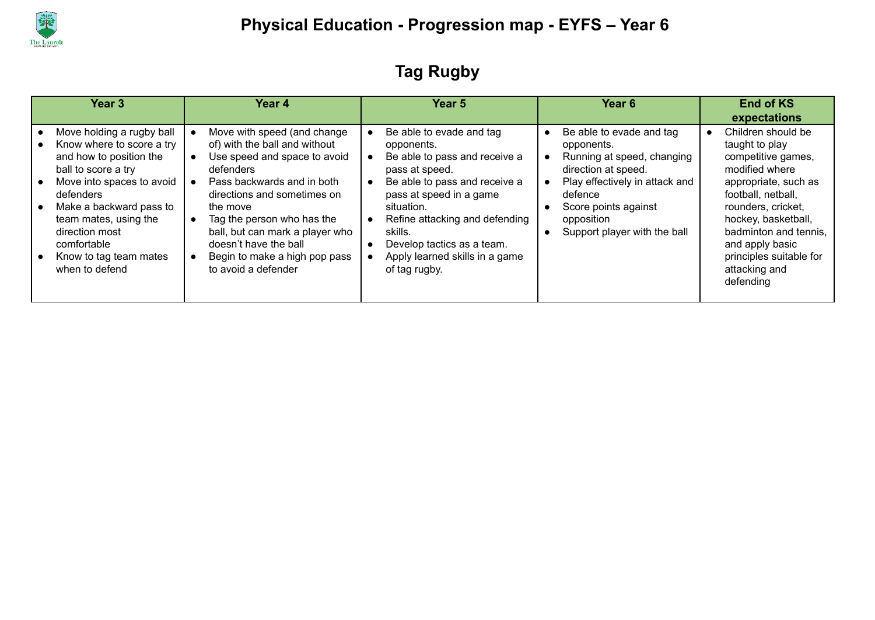

## **Tag Rugby**

| Year <sub>3</sub>                                                                                                                                                                                                                                                                   | Year 4                                                                                                                                                                                                                                                                                                                               | Year <sub>5</sub>                                                                                                                                                                                                                                                                                 | Year <sub>6</sub>                                                                                                                                                                                              | <b>End of KS</b><br>expectations                                                                                                                                                                                                                                             |
|-------------------------------------------------------------------------------------------------------------------------------------------------------------------------------------------------------------------------------------------------------------------------------------|--------------------------------------------------------------------------------------------------------------------------------------------------------------------------------------------------------------------------------------------------------------------------------------------------------------------------------------|---------------------------------------------------------------------------------------------------------------------------------------------------------------------------------------------------------------------------------------------------------------------------------------------------|----------------------------------------------------------------------------------------------------------------------------------------------------------------------------------------------------------------|------------------------------------------------------------------------------------------------------------------------------------------------------------------------------------------------------------------------------------------------------------------------------|
| Move holding a rugby ball<br>Know where to score a try<br>and how to position the<br>ball to score a try<br>Move into spaces to avoid<br>defenders<br>Make a backward pass to<br>team mates, using the<br>direction most<br>comfortable<br>Know to tag team mates<br>when to defend | Move with speed (and change<br>of) with the ball and without<br>Use speed and space to avoid<br>defenders<br>Pass backwards and in both<br>directions and sometimes on<br>the move<br>Tag the person who has the<br>ball, but can mark a player who<br>doesn't have the ball<br>Begin to make a high pop pass<br>to avoid a defender | Be able to evade and tag<br>opponents.<br>Be able to pass and receive a<br>pass at speed.<br>Be able to pass and receive a<br>pass at speed in a game<br>situation.<br>Refine attacking and defending<br>skills.<br>Develop tactics as a team.<br>Apply learned skills in a game<br>of tag rugby. | Be able to evade and tag<br>opponents.<br>Running at speed, changing<br>direction at speed.<br>Play effectively in attack and<br>defence<br>Score points against<br>opposition<br>Support player with the ball | Children should be<br>taught to play<br>competitive games,<br>modified where<br>appropriate, such as<br>football, netball,<br>rounders, cricket,<br>hockey, basketball,<br>badminton and tennis.<br>and apply basic<br>principles suitable for<br>attacking and<br>defending |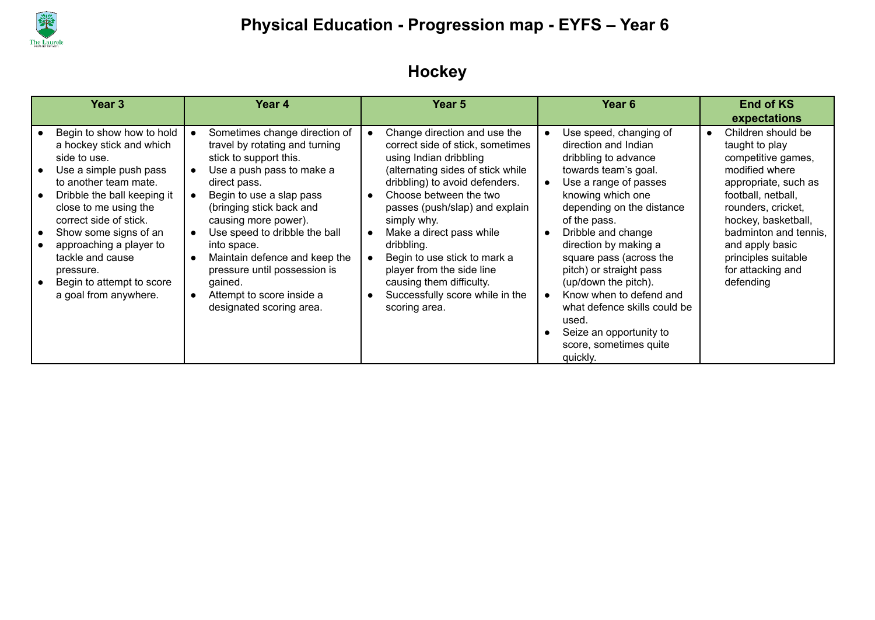

## **Hockey**

| Year <sub>3</sub>                                                                                                                                                                                                                                                                                                                                     | Year 4                                                                                                                                                                                                                                                                                                                                                                                                      | Year 5                                                                                                                                                                                                                                                                                                                                                                                                                              | Year <sub>6</sub>                                                                                                                                                                                                                                                                                                                                                                                                                                                        | <b>End of KS</b><br>expectations                                                                                                                                                                                                                                             |
|-------------------------------------------------------------------------------------------------------------------------------------------------------------------------------------------------------------------------------------------------------------------------------------------------------------------------------------------------------|-------------------------------------------------------------------------------------------------------------------------------------------------------------------------------------------------------------------------------------------------------------------------------------------------------------------------------------------------------------------------------------------------------------|-------------------------------------------------------------------------------------------------------------------------------------------------------------------------------------------------------------------------------------------------------------------------------------------------------------------------------------------------------------------------------------------------------------------------------------|--------------------------------------------------------------------------------------------------------------------------------------------------------------------------------------------------------------------------------------------------------------------------------------------------------------------------------------------------------------------------------------------------------------------------------------------------------------------------|------------------------------------------------------------------------------------------------------------------------------------------------------------------------------------------------------------------------------------------------------------------------------|
| Begin to show how to hold<br>a hockey stick and which<br>side to use.<br>Use a simple push pass<br>to another team mate.<br>Dribble the ball keeping it<br>close to me using the<br>correct side of stick.<br>Show some signs of an<br>approaching a player to<br>tackle and cause<br>pressure.<br>Begin to attempt to score<br>a goal from anywhere. | Sometimes change direction of<br>travel by rotating and turning<br>stick to support this.<br>Use a push pass to make a<br>direct pass.<br>Begin to use a slap pass<br>(bringing stick back and<br>causing more power).<br>Use speed to dribble the ball<br>into space.<br>Maintain defence and keep the<br>pressure until possession is<br>gained.<br>Attempt to score inside a<br>designated scoring area. | Change direction and use the<br>correct side of stick, sometimes<br>using Indian dribbling<br>(alternating sides of stick while<br>dribbling) to avoid defenders.<br>Choose between the two<br>passes (push/slap) and explain<br>simply why.<br>Make a direct pass while<br>dribbling.<br>Begin to use stick to mark a<br>player from the side line<br>causing them difficulty.<br>Successfully score while in the<br>scoring area. | Use speed, changing of<br>direction and Indian<br>dribbling to advance<br>towards team's goal.<br>Use a range of passes<br>knowing which one<br>depending on the distance<br>of the pass.<br>Dribble and change<br>direction by making a<br>square pass (across the<br>pitch) or straight pass<br>(up/down the pitch).<br>Know when to defend and<br>what defence skills could be<br>used.<br>Seize an opportunity to<br>$\bullet$<br>score, sometimes quite<br>quickly. | Children should be<br>taught to play<br>competitive games,<br>modified where<br>appropriate, such as<br>football, netball,<br>rounders, cricket,<br>hockey, basketball,<br>badminton and tennis.<br>and apply basic<br>principles suitable<br>for attacking and<br>defending |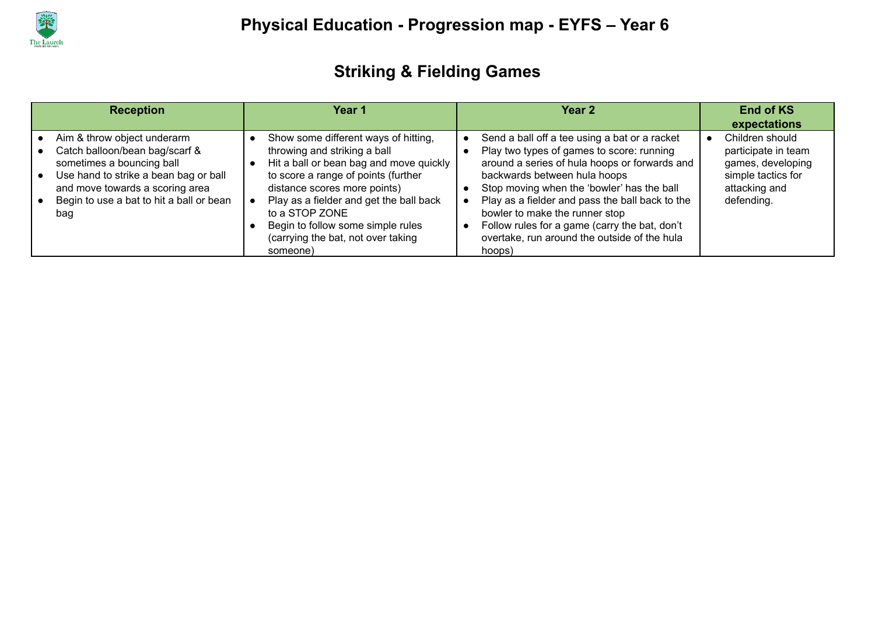

## **Striking & Fielding Games**

| <b>Reception</b>                                                                                                                                                                                                          | Year 1                                                                                                                                                                                                                                                                                                                                     | Year <sub>2</sub>                                                                                                                                                                                                                                                                                                                                                                                                         | <b>End of KS</b><br>expectations                                                                                 |
|---------------------------------------------------------------------------------------------------------------------------------------------------------------------------------------------------------------------------|--------------------------------------------------------------------------------------------------------------------------------------------------------------------------------------------------------------------------------------------------------------------------------------------------------------------------------------------|---------------------------------------------------------------------------------------------------------------------------------------------------------------------------------------------------------------------------------------------------------------------------------------------------------------------------------------------------------------------------------------------------------------------------|------------------------------------------------------------------------------------------------------------------|
| Aim & throw object underarm<br>Catch balloon/bean bag/scarf &<br>sometimes a bouncing ball<br>Use hand to strike a bean bag or ball<br>and move towards a scoring area<br>Begin to use a bat to hit a ball or bean<br>bag | Show some different ways of hitting,<br>throwing and striking a ball<br>Hit a ball or bean bag and move quickly<br>to score a range of points (further<br>distance scores more points)<br>Play as a fielder and get the ball back<br>to a STOP ZONE<br>Begin to follow some simple rules<br>(carrying the bat, not over taking<br>someone) | Send a ball off a tee using a bat or a racket<br>Play two types of games to score: running<br>around a series of hula hoops or forwards and<br>backwards between hula hoops<br>Stop moving when the 'bowler' has the ball<br>Play as a fielder and pass the ball back to the<br>bowler to make the runner stop<br>Follow rules for a game (carry the bat, don't<br>overtake, run around the outside of the hula<br>hoops) | Children should<br>participate in team<br>games, developing<br>simple tactics for<br>attacking and<br>defending. |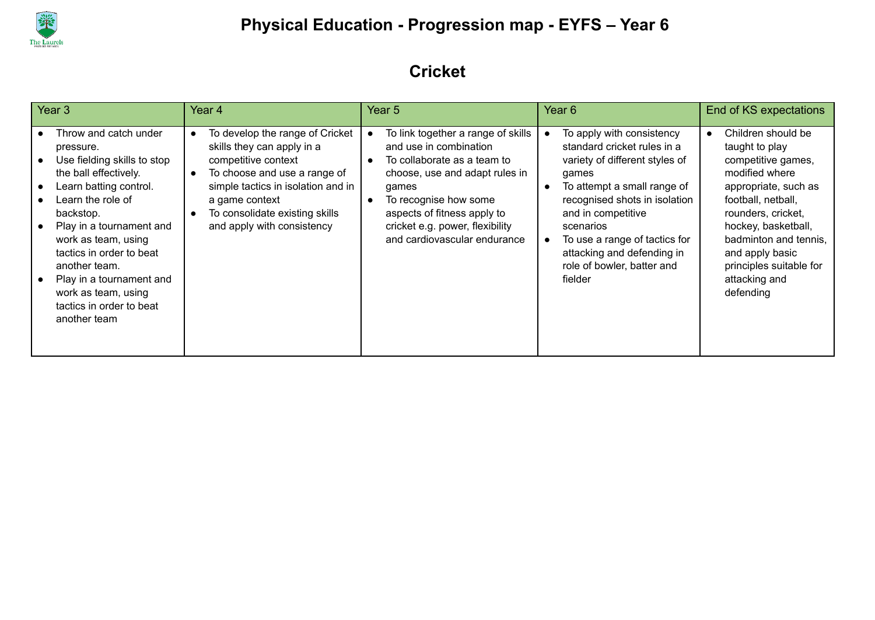

### **Cricket**

| Year <sub>3</sub>                                                                                                                                                                                                                                                                                                                                     | Year 4                                                                                                                                                                                                                                       | Year <sub>5</sub>                                                                                                                                                                                                                                                              | Year <sub>6</sub>                                                                                                                                                                                                                                                                                              | <b>End of KS expectations</b>                                                                                                                                                                                                                                                |
|-------------------------------------------------------------------------------------------------------------------------------------------------------------------------------------------------------------------------------------------------------------------------------------------------------------------------------------------------------|----------------------------------------------------------------------------------------------------------------------------------------------------------------------------------------------------------------------------------------------|--------------------------------------------------------------------------------------------------------------------------------------------------------------------------------------------------------------------------------------------------------------------------------|----------------------------------------------------------------------------------------------------------------------------------------------------------------------------------------------------------------------------------------------------------------------------------------------------------------|------------------------------------------------------------------------------------------------------------------------------------------------------------------------------------------------------------------------------------------------------------------------------|
| Throw and catch under<br>pressure.<br>Use fielding skills to stop<br>the ball effectively.<br>Learn batting control.<br>Learn the role of<br>backstop.<br>Play in a tournament and<br>work as team, using<br>tactics in order to beat<br>another team.<br>Play in a tournament and<br>work as team, using<br>tactics in order to beat<br>another team | To develop the range of Cricket<br>skills they can apply in a<br>competitive context<br>To choose and use a range of<br>simple tactics in isolation and in<br>a game context<br>To consolidate existing skills<br>and apply with consistency | To link together a range of skills<br>and use in combination<br>To collaborate as a team to<br>$\bullet$<br>choose, use and adapt rules in<br>games<br>To recognise how some<br>aspects of fitness apply to<br>cricket e.g. power, flexibility<br>and cardiovascular endurance | To apply with consistency<br>standard cricket rules in a<br>variety of different styles of<br>games<br>To attempt a small range of<br>recognised shots in isolation<br>and in competitive<br>scenarios<br>To use a range of tactics for<br>attacking and defending in<br>role of bowler, batter and<br>fielder | Children should be<br>taught to play<br>competitive games,<br>modified where<br>appropriate, such as<br>football, netball,<br>rounders, cricket,<br>hockey, basketball,<br>badminton and tennis,<br>and apply basic<br>principles suitable for<br>attacking and<br>defending |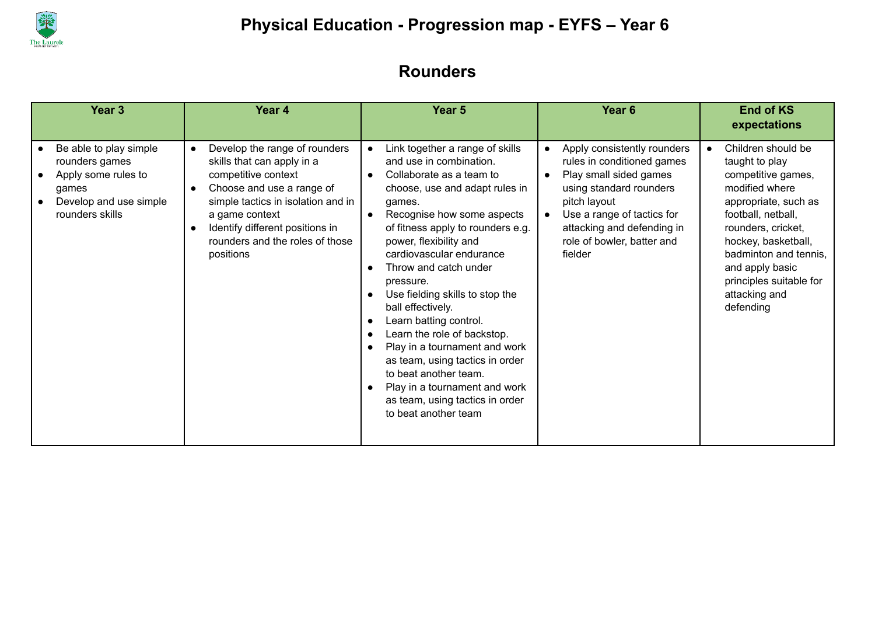

### **Rounders**

| Year <sub>3</sub>                                                                                                     | Year 4                                                                                                                                                                                                                                                                  | Year <sub>5</sub>                                                                                                                                                                                                                                                                                                                                                                                                                                                                                                                                                                                                                                               | Year <sub>6</sub>                                                                                                                                                                                                                                             | <b>End of KS</b><br>expectations                                                                                                                                                                                                                                                          |
|-----------------------------------------------------------------------------------------------------------------------|-------------------------------------------------------------------------------------------------------------------------------------------------------------------------------------------------------------------------------------------------------------------------|-----------------------------------------------------------------------------------------------------------------------------------------------------------------------------------------------------------------------------------------------------------------------------------------------------------------------------------------------------------------------------------------------------------------------------------------------------------------------------------------------------------------------------------------------------------------------------------------------------------------------------------------------------------------|---------------------------------------------------------------------------------------------------------------------------------------------------------------------------------------------------------------------------------------------------------------|-------------------------------------------------------------------------------------------------------------------------------------------------------------------------------------------------------------------------------------------------------------------------------------------|
| Be able to play simple<br>rounders games<br>Apply some rules to<br>qames<br>Develop and use simple<br>rounders skills | Develop the range of rounders<br>$\bullet$<br>skills that can apply in a<br>competitive context<br>Choose and use a range of<br>simple tactics in isolation and in<br>a game context<br>Identify different positions in<br>rounders and the roles of those<br>positions | Link together a range of skills<br>and use in combination.<br>Collaborate as a team to<br>choose, use and adapt rules in<br>games.<br>Recognise how some aspects<br>of fitness apply to rounders e.g.<br>power, flexibility and<br>cardiovascular endurance<br>Throw and catch under<br>pressure.<br>Use fielding skills to stop the<br>$\bullet$<br>ball effectively.<br>Learn batting control.<br>$\bullet$<br>Learn the role of backstop.<br>$\bullet$<br>Play in a tournament and work<br>$\bullet$<br>as team, using tactics in order<br>to beat another team.<br>Play in a tournament and work<br>as team, using tactics in order<br>to beat another team | Apply consistently rounders<br>$\bullet$<br>rules in conditioned games<br>Play small sided games<br>$\bullet$<br>using standard rounders<br>pitch layout<br>Use a range of tactics for<br>attacking and defending in<br>role of bowler, batter and<br>fielder | Children should be<br>$\bullet$<br>taught to play<br>competitive games,<br>modified where<br>appropriate, such as<br>football, netball,<br>rounders, cricket,<br>hockey, basketball,<br>badminton and tennis,<br>and apply basic<br>principles suitable for<br>attacking and<br>defending |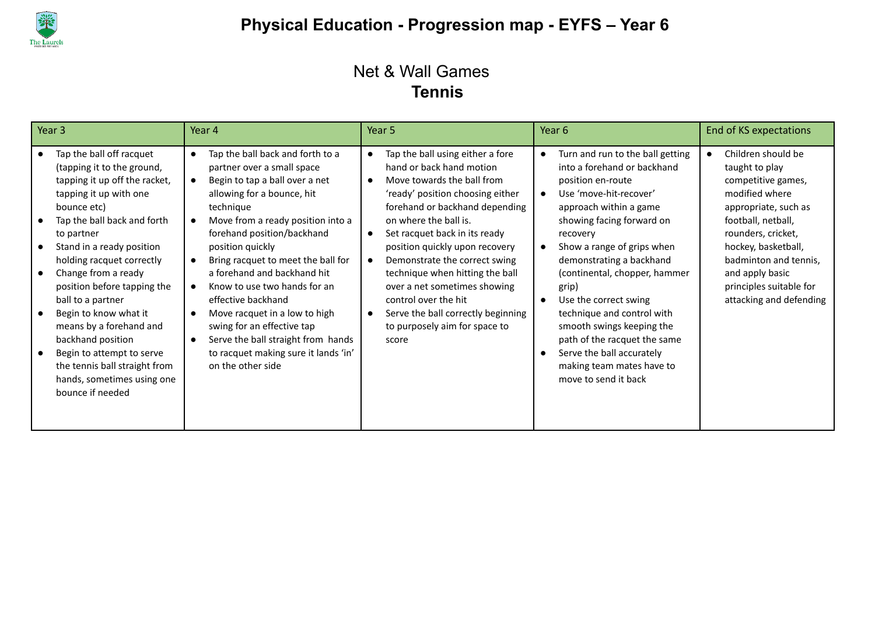

#### Net & Wall Games **Tennis**

| Year 3                                                                                                                                                                                                                                                                                                                                                                                                                                                                                                      | Year 4                                                                                                                                                                                                                                                                                                                                                                                                                                                                                                                                                    | Year 5                                                                                                                                                                                                                                                                                                                                                                                                                                                                                                                       | Year 6                                                                                                                                                                                                                                                                                                                                                                                                                                                                                                   | End of KS expectations                                                                                                                                                                                                                                                    |
|-------------------------------------------------------------------------------------------------------------------------------------------------------------------------------------------------------------------------------------------------------------------------------------------------------------------------------------------------------------------------------------------------------------------------------------------------------------------------------------------------------------|-----------------------------------------------------------------------------------------------------------------------------------------------------------------------------------------------------------------------------------------------------------------------------------------------------------------------------------------------------------------------------------------------------------------------------------------------------------------------------------------------------------------------------------------------------------|------------------------------------------------------------------------------------------------------------------------------------------------------------------------------------------------------------------------------------------------------------------------------------------------------------------------------------------------------------------------------------------------------------------------------------------------------------------------------------------------------------------------------|----------------------------------------------------------------------------------------------------------------------------------------------------------------------------------------------------------------------------------------------------------------------------------------------------------------------------------------------------------------------------------------------------------------------------------------------------------------------------------------------------------|---------------------------------------------------------------------------------------------------------------------------------------------------------------------------------------------------------------------------------------------------------------------------|
| Tap the ball off racquet<br>(tapping it to the ground,<br>tapping it up off the racket,<br>tapping it up with one<br>bounce etc)<br>Tap the ball back and forth<br>to partner<br>Stand in a ready position<br>holding racquet correctly<br>Change from a ready<br>position before tapping the<br>ball to a partner<br>Begin to know what it<br>means by a forehand and<br>backhand position<br>Begin to attempt to serve<br>the tennis ball straight from<br>hands, sometimes using one<br>bounce if needed | Tap the ball back and forth to a<br>$\bullet$<br>partner over a small space<br>Begin to tap a ball over a net<br>allowing for a bounce, hit<br>technique<br>Move from a ready position into a<br>forehand position/backhand<br>position quickly<br>Bring racquet to meet the ball for<br>a forehand and backhand hit<br>Know to use two hands for an<br>effective backhand<br>Move racquet in a low to high<br>swing for an effective tap<br>Serve the ball straight from hands<br>$\bullet$<br>to racquet making sure it lands 'in'<br>on the other side | Tap the ball using either a fore<br>$\bullet$<br>hand or back hand motion<br>Move towards the ball from<br>$\bullet$<br>'ready' position choosing either<br>forehand or backhand depending<br>on where the ball is.<br>Set racquet back in its ready<br>$\bullet$<br>position quickly upon recovery<br>Demonstrate the correct swing<br>$\bullet$<br>technique when hitting the ball<br>over a net sometimes showing<br>control over the hit<br>Serve the ball correctly beginning<br>to purposely aim for space to<br>score | Turn and run to the ball getting<br>into a forehand or backhand<br>position en-route<br>Use 'move-hit-recover'<br>approach within a game<br>showing facing forward on<br>recovery<br>Show a range of grips when<br>demonstrating a backhand<br>(continental, chopper, hammer<br>grip)<br>Use the correct swing<br>$\bullet$<br>technique and control with<br>smooth swings keeping the<br>path of the racquet the same<br>Serve the ball accurately<br>making team mates have to<br>move to send it back | Children should be<br>taught to play<br>competitive games,<br>modified where<br>appropriate, such as<br>football, netball,<br>rounders, cricket,<br>hockey, basketball,<br>badminton and tennis,<br>and apply basic<br>principles suitable for<br>attacking and defending |
|                                                                                                                                                                                                                                                                                                                                                                                                                                                                                                             |                                                                                                                                                                                                                                                                                                                                                                                                                                                                                                                                                           |                                                                                                                                                                                                                                                                                                                                                                                                                                                                                                                              |                                                                                                                                                                                                                                                                                                                                                                                                                                                                                                          |                                                                                                                                                                                                                                                                           |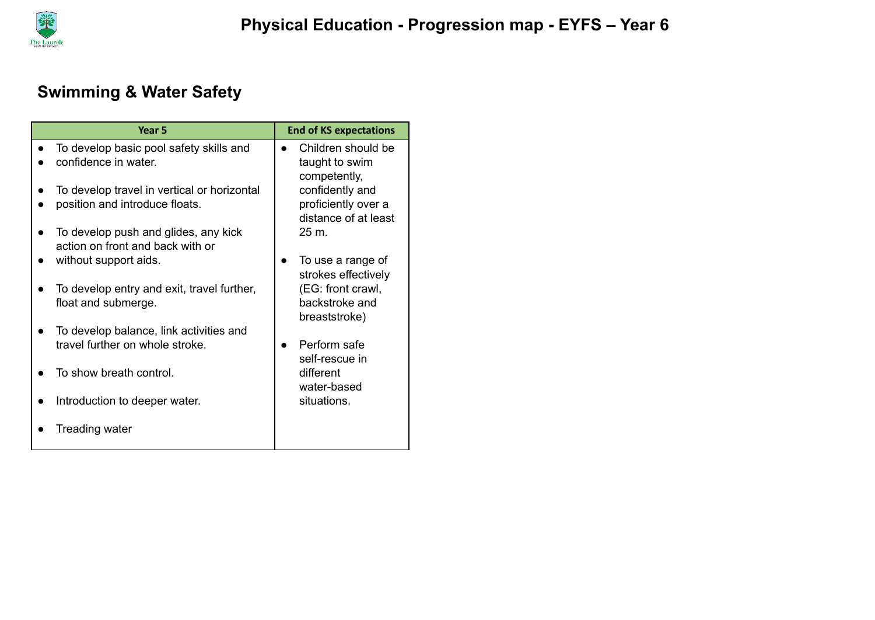

## **Swimming & Water Safety**

| Year 5                                                                        | <b>End of KS expectations</b>                                  |
|-------------------------------------------------------------------------------|----------------------------------------------------------------|
| To develop basic pool safety skills and<br>confidence in water.               | Children should be<br>taught to swim<br>competently,           |
| To develop travel in vertical or horizontal<br>position and introduce floats. | confidently and<br>proficiently over a<br>distance of at least |
| To develop push and glides, any kick<br>action on front and back with or      | 25 m.                                                          |
| without support aids.                                                         | To use a range of<br>strokes effectively                       |
| To develop entry and exit, travel further,<br>float and submerge.             | (EG: front crawl,<br>backstroke and<br>breaststroke)           |
| To develop balance, link activities and<br>travel further on whole stroke.    | Perform safe<br>self-rescue in                                 |
| To show breath control.                                                       | different<br>water-based                                       |
| Introduction to deeper water.                                                 | situations.                                                    |
| Treading water                                                                |                                                                |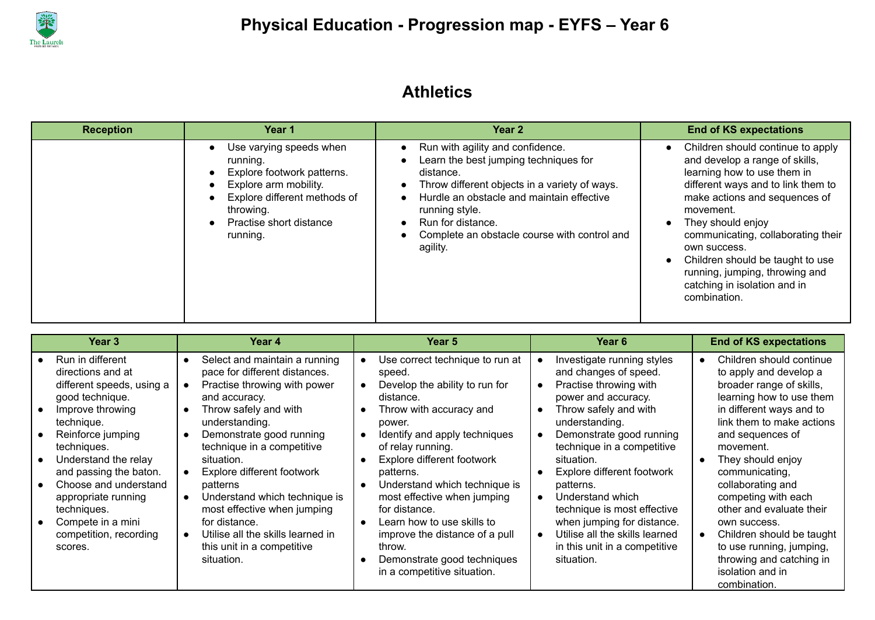

### **Athletics**

| <b>Reception</b> | Year 1                                                                                                                                                                                                                             | Year 2                                                                                                                                                                                                                                                                                  | <b>End of KS expectations</b>                                                                                                                                                                                                                                                                                                                                                           |
|------------------|------------------------------------------------------------------------------------------------------------------------------------------------------------------------------------------------------------------------------------|-----------------------------------------------------------------------------------------------------------------------------------------------------------------------------------------------------------------------------------------------------------------------------------------|-----------------------------------------------------------------------------------------------------------------------------------------------------------------------------------------------------------------------------------------------------------------------------------------------------------------------------------------------------------------------------------------|
|                  | Use varying speeds when<br>$\bullet$<br>running.<br>Explore footwork patterns.<br>Explore arm mobility.<br>$\bullet$<br>Explore different methods of<br>$\bullet$<br>throwing.<br>Practise short distance<br>$\bullet$<br>running. | Run with agility and confidence.<br>Learn the best jumping techniques for<br>distance.<br>Throw different objects in a variety of ways.<br>Hurdle an obstacle and maintain effective<br>running style.<br>Run for distance.<br>Complete an obstacle course with control and<br>agility. | Children should continue to apply<br>and develop a range of skills,<br>learning how to use them in<br>different ways and to link them to<br>make actions and sequences of<br>movement.<br>They should enjoy<br>communicating, collaborating their<br>own success.<br>Children should be taught to use<br>running, jumping, throwing and<br>catching in isolation and in<br>combination. |

| Year 3                                                                                                                                                                                                                                                                                                                                 | Year 4                                                                                                                                                                                                                                                                                                                                                                                                                                                                                             | <b>Year 5</b>                                                                                                                                                                                                                                                                                                                                                                                                                                                                                               | Year 6                                                                                                                                                                                                                                                                                                                                                                                                                               | <b>End of KS expectations</b>                                                                                                                                                                                                                                                                                                                                                                                                                                |
|----------------------------------------------------------------------------------------------------------------------------------------------------------------------------------------------------------------------------------------------------------------------------------------------------------------------------------------|----------------------------------------------------------------------------------------------------------------------------------------------------------------------------------------------------------------------------------------------------------------------------------------------------------------------------------------------------------------------------------------------------------------------------------------------------------------------------------------------------|-------------------------------------------------------------------------------------------------------------------------------------------------------------------------------------------------------------------------------------------------------------------------------------------------------------------------------------------------------------------------------------------------------------------------------------------------------------------------------------------------------------|--------------------------------------------------------------------------------------------------------------------------------------------------------------------------------------------------------------------------------------------------------------------------------------------------------------------------------------------------------------------------------------------------------------------------------------|--------------------------------------------------------------------------------------------------------------------------------------------------------------------------------------------------------------------------------------------------------------------------------------------------------------------------------------------------------------------------------------------------------------------------------------------------------------|
| Run in different<br>directions and at<br>different speeds, using a<br>good technique.<br>Improve throwing<br>technique.<br>Reinforce jumping<br>techniques.<br>Understand the relay<br>and passing the baton.<br>Choose and understand<br>appropriate running<br>techniques.<br>Compete in a mini<br>competition, recording<br>scores. | Select and maintain a running<br>pace for different distances.<br>Practise throwing with power<br>$\bullet$<br>and accuracy.<br>Throw safely and with<br>understanding.<br>Demonstrate good running<br>technique in a competitive<br>situation.<br>Explore different footwork<br>$\bullet$<br>patterns<br>Understand which technique is<br>$\bullet$<br>most effective when jumping<br>for distance.<br>Utilise all the skills learned in<br>$\bullet$<br>this unit in a competitive<br>situation. | Use correct technique to run at<br>speed.<br>Develop the ability to run for<br>$\bullet$<br>distance.<br>Throw with accuracy and<br>power.<br>Identify and apply techniques<br>$\bullet$<br>of relay running.<br>Explore different footwork<br>patterns.<br>Understand which technique is<br>$\bullet$<br>most effective when jumping<br>for distance.<br>Learn how to use skills to<br>$\bullet$<br>improve the distance of a pull<br>throw.<br>Demonstrate good techniques<br>in a competitive situation. | Investigate running styles<br>and changes of speed.<br>Practise throwing with<br>power and accuracy.<br>Throw safely and with<br>understanding.<br>Demonstrate good running<br>technique in a competitive<br>situation.<br>Explore different footwork<br>patterns.<br>Understand which<br>technique is most effective<br>when jumping for distance.<br>Utilise all the skills learned<br>in this unit in a competitive<br>situation. | Children should continue<br>to apply and develop a<br>broader range of skills,<br>learning how to use them<br>in different ways and to<br>link them to make actions<br>and sequences of<br>movement.<br>They should enjoy<br>communicating,<br>collaborating and<br>competing with each<br>other and evaluate their<br>own success.<br>Children should be taught<br>to use running, jumping,<br>throwing and catching in<br>isolation and in<br>combination. |